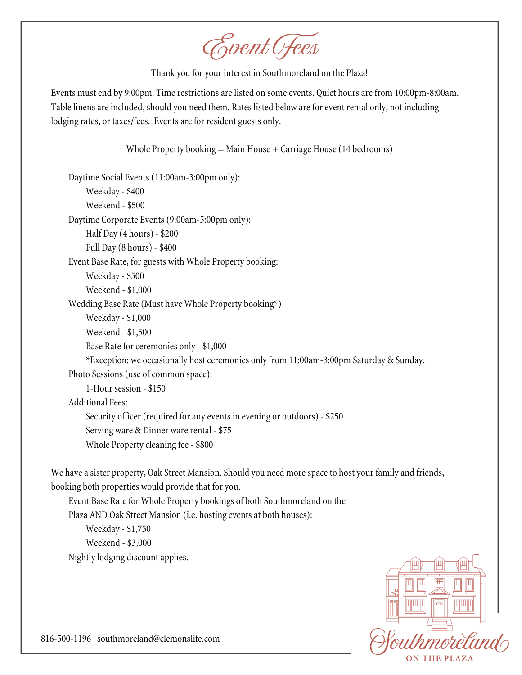Event Fees

Thank you for your interest in Southmoreland on the Plaza!

Events must end by 9:00pm. Time restrictions are listed on some events. Quiet hours are from 10:00pm-8:00am. Table linens are included, should you need them. Rates listed below are for event rental only, not including lodging rates, or taxes/fees. Events are for resident guests only.

Whole Property booking  $=$  Main House  $+$  Carriage House (14 bedrooms)

Daytime Social Events (11:00am-3:00pm only): Weekday - \$400 Weekend - \$500 Daytime Corporate Events (9:00am-5:00pm only): Half Day (4 hours) - \$200 Full Day (8 hours) - \$400 Event Base Rate, for guests with Whole Property booking: Weekday - \$500 Weekend - \$1,000 Wedding Base Rate(Must have Whole Property booking\*) Weekday - \$1,000 Weekend - \$1,500 Base Rate for ceremonies only - \$1,000 \*Exception: we occasionally host ceremonies only from 11:00am-3:00pm Saturday & Sunday. Photo Sessions (use of common space): 1-Hour session - \$150 Additional Fees: Security officer (required for any events in evening or outdoors) - \$250 Serving ware & Dinner ware rental - \$75 Whole Property cleaning fee- \$800

We have a sister property, Oak Street Mansion. Should you need more space to host your family and friends, booking both properties would provide that for you.

Event Base Rate for Whole Property bookings of both Southmoreland on the Plaza AND Oak Street Mansion (i.e. hosting events at both houses): Weekday - \$1,750 Weekend - \$3,000 Nightly lodging discount applies.

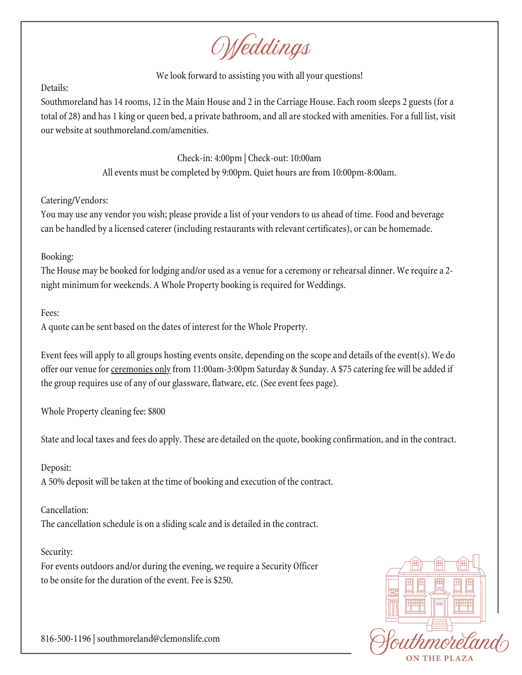Weddings

### We look forward to assisting you with all your questions!

### Details:

Southmoreland has 14 rooms, 12 in the Main House and 2 in the Carriage House. Each room sleeps 2 guests (for a total of 28) and has 1 king or queen bed, a private bathroom, and all arestocked with amenities. For a full list, visit our website at southmoreland.com/amenities.

> Check-in: 4:00pm | Check-out: 10:00am All events must be completed by 9:00pm. Quiet hours are from 10:00pm-8:00am.

## Catering/Vendors:

You may use any vendor you wish; please provide a list of your vendors to us ahead of time. Food and beverage can be handled by a licensed caterer (including restaurants with relevant certificates), or can be homemade.

## Booking:

The House may be booked for lodging and/or used as a venue for a ceremony or rehearsal dinner. We require a 2night minimum for weekends. A Whole Property booking is required for Weddings.

# Fees:

A quote can be sent based on the dates of interest for the Whole Property.

Event fees will apply to all groups hosting events onsite, depending on the scope and details of the event(s). We do offer our venue for ceremonies only from 11:00am-3:00pm Saturday & Sunday. A \$75 catering fee will be added if the group requires use of any of our glassware, flatware, etc. (See event fees page).

Whole Property cleaning fee: \$800

State and local taxes and fees do apply. These are detailed on the quote, booking confirmation, and in thecontract.

# Deposit:

A 50% deposit will be taken at the time of booking and execution of the contract.

# Cancellation:

The cancellation schedule is on a sliding scale and is detailed in the contract.

# Security:

For events outdoors and/or during the evening, we require a Security Officer to be onsite for the duration of the event. Fee is \$250.

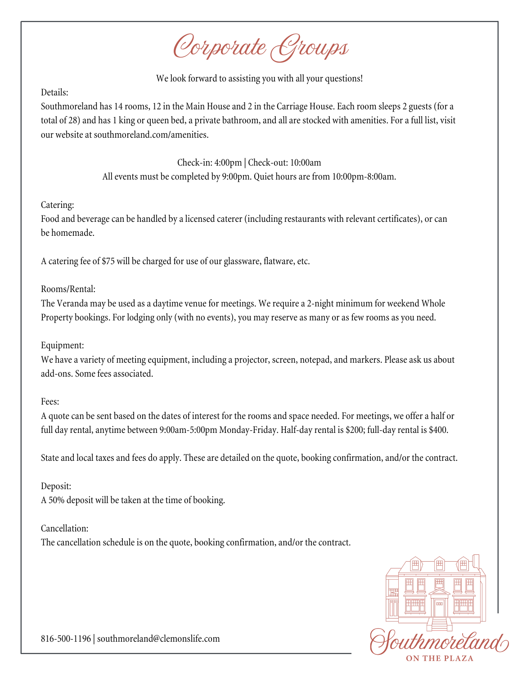Corporate Groups

We look forward to assisting you with all your questions!

### Details:

Southmoreland has 14 rooms, 12 in the Main House and 2 in the Carriage House. Each room sleeps 2 guests (for a total of 28) and has 1 king or queen bed, a private bathroom, and all are stocked with amenities. For a full list, visit our website at southmoreland.com/amenities.

> Check-in: 4:00pm | Check-out: 10:00am All events must be completed by 9:00pm. Quiet hours are from 10:00pm-8:00am.

### Catering:

Food and beverage can be handled by a licensed caterer (including restaurants with relevant certificates), or can be homemade.

A catering fee of \$75 will be charged for use of our glassware, flatware, etc.

### Rooms/Rental:

The Veranda may be used as a daytime venue for meetings. We require a 2-night minimum for weekend Whole Property bookings. For lodging only (with no events), you may reserve as many or as few rooms as you need.

### Equipment:

We have a variety of meeting equipment, including a projector, screen, notepad, and markers. Please ask us about add-ons. Some fees associated.

### Fees:

A quote can be sent based on the dates of interest for the rooms and space needed. For meetings, we offer a half or full day rental, anytime between 9:00am-5:00pm Monday-Friday. Half-day rental is \$200; full-day rental is \$400.

State and local taxes and fees do apply. These are detailed on the quote, booking confirmation, and/or the contract.

### Deposit:

A 50% deposit will be taken at the time of booking.

### Cancellation:

The cancellation schedule is on the quote, booking confirmation, and/or the contract.

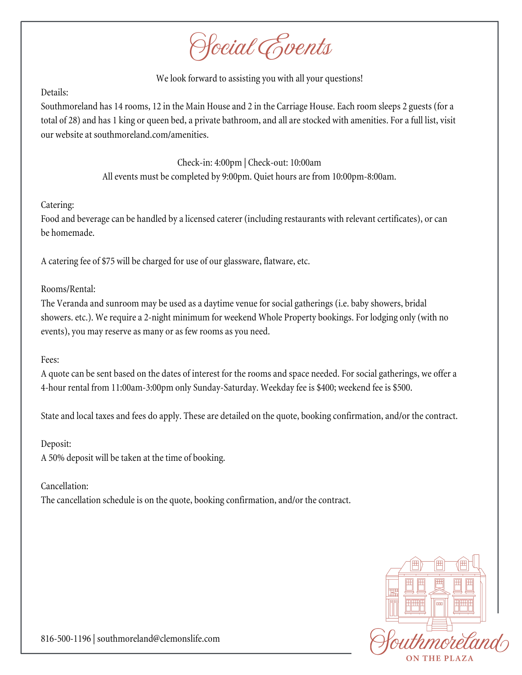Social Events

### We look forward to assisting you with all your questions!

#### Details:

Southmoreland has 14 rooms, 12 in the Main House and 2 in the Carriage House. Each room sleeps 2 guests (for a total of 28) and has 1 king or queen bed, a private bathroom, and all are stocked with amenities. For a full list, visit our website at southmoreland.com/amenities.

> Check-in: 4:00pm | Check-out: 10:00am All events must be completed by 9:00pm. Quiet hours are from 10:00pm-8:00am.

### Catering:

Food and beverage can be handled by a licensed caterer (including restaurants with relevant certificates), or can be homemade.

A catering fee of \$75 will be charged for use of our glassware, flatware, etc.

### Rooms/Rental:

The Veranda and sunroom may be used as a daytime venue for social gatherings (i.e. baby showers, bridal showers. etc.). We require a 2-night minimum for weekend Whole Property bookings. For lodging only (with no events), you may reserve as many or as few rooms as you need.

### Fees:

A quote can be sent based on the dates of interest for the rooms and space needed. For social gatherings, we offer a 4-hour rental from 11:00am-3:00pm only Sunday-Saturday. Weekday feeis \$400; weekend feeis \$500.

State and local taxes and fees do apply. These are detailed on the quote, booking confirmation, and/or thecontract.

### Deposit:

A 50% deposit will be taken at the time of booking.

### Cancellation:

The cancellation schedule is on the quote, booking confirmation, and/or the contract.